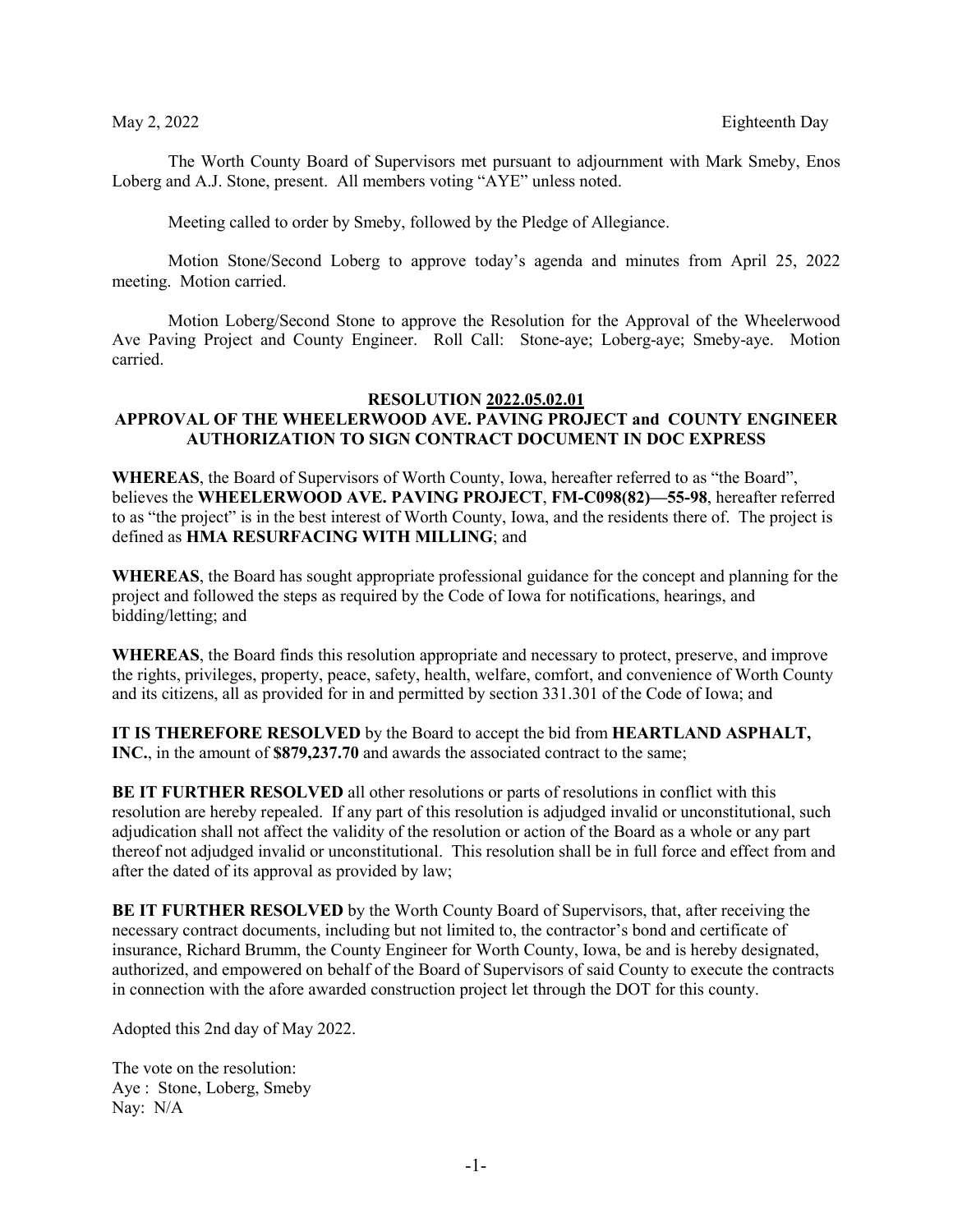The Worth County Board of Supervisors met pursuant to adjournment with Mark Smeby, Enos Loberg and A.J. Stone, present. All members voting "AYE" unless noted.

Meeting called to order by Smeby, followed by the Pledge of Allegiance.

Motion Stone/Second Loberg to approve today's agenda and minutes from April 25, 2022 meeting. Motion carried.

Motion Loberg/Second Stone to approve the Resolution for the Approval of the Wheelerwood Ave Paving Project and County Engineer. Roll Call: Stone-aye; Loberg-aye; Smeby-aye. Motion carried.

### **RESOLUTION 2022.05.02.01 APPROVAL OF THE WHEELERWOOD AVE. PAVING PROJECT and COUNTY ENGINEER**

# **AUTHORIZATION TO SIGN CONTRACT DOCUMENT IN DOC EXPRESS**

**WHEREAS**, the Board of Supervisors of Worth County, Iowa, hereafter referred to as "the Board", believes the **WHEELERWOOD AVE. PAVING PROJECT**, **FM-C098(82)—55-98**, hereafter referred to as "the project" is in the best interest of Worth County, Iowa, and the residents there of. The project is defined as **HMA RESURFACING WITH MILLING**; and

**WHEREAS**, the Board has sought appropriate professional guidance for the concept and planning for the project and followed the steps as required by the Code of Iowa for notifications, hearings, and bidding/letting; and

**WHEREAS**, the Board finds this resolution appropriate and necessary to protect, preserve, and improve the rights, privileges, property, peace, safety, health, welfare, comfort, and convenience of Worth County and its citizens, all as provided for in and permitted by section 331.301 of the Code of Iowa; and

**IT IS THEREFORE RESOLVED** by the Board to accept the bid from **HEARTLAND ASPHALT, INC.**, in the amount of **\$879,237.70** and awards the associated contract to the same;

**BE IT FURTHER RESOLVED** all other resolutions or parts of resolutions in conflict with this resolution are hereby repealed. If any part of this resolution is adjudged invalid or unconstitutional, such adjudication shall not affect the validity of the resolution or action of the Board as a whole or any part thereof not adjudged invalid or unconstitutional. This resolution shall be in full force and effect from and after the dated of its approval as provided by law;

**BE IT FURTHER RESOLVED** by the Worth County Board of Supervisors, that, after receiving the necessary contract documents, including but not limited to, the contractor's bond and certificate of insurance, Richard Brumm, the County Engineer for Worth County, Iowa, be and is hereby designated, authorized, and empowered on behalf of the Board of Supervisors of said County to execute the contracts in connection with the afore awarded construction project let through the DOT for this county.

Adopted this 2nd day of May 2022.

The vote on the resolution: Aye : Stone, Loberg, Smeby Nay: N/A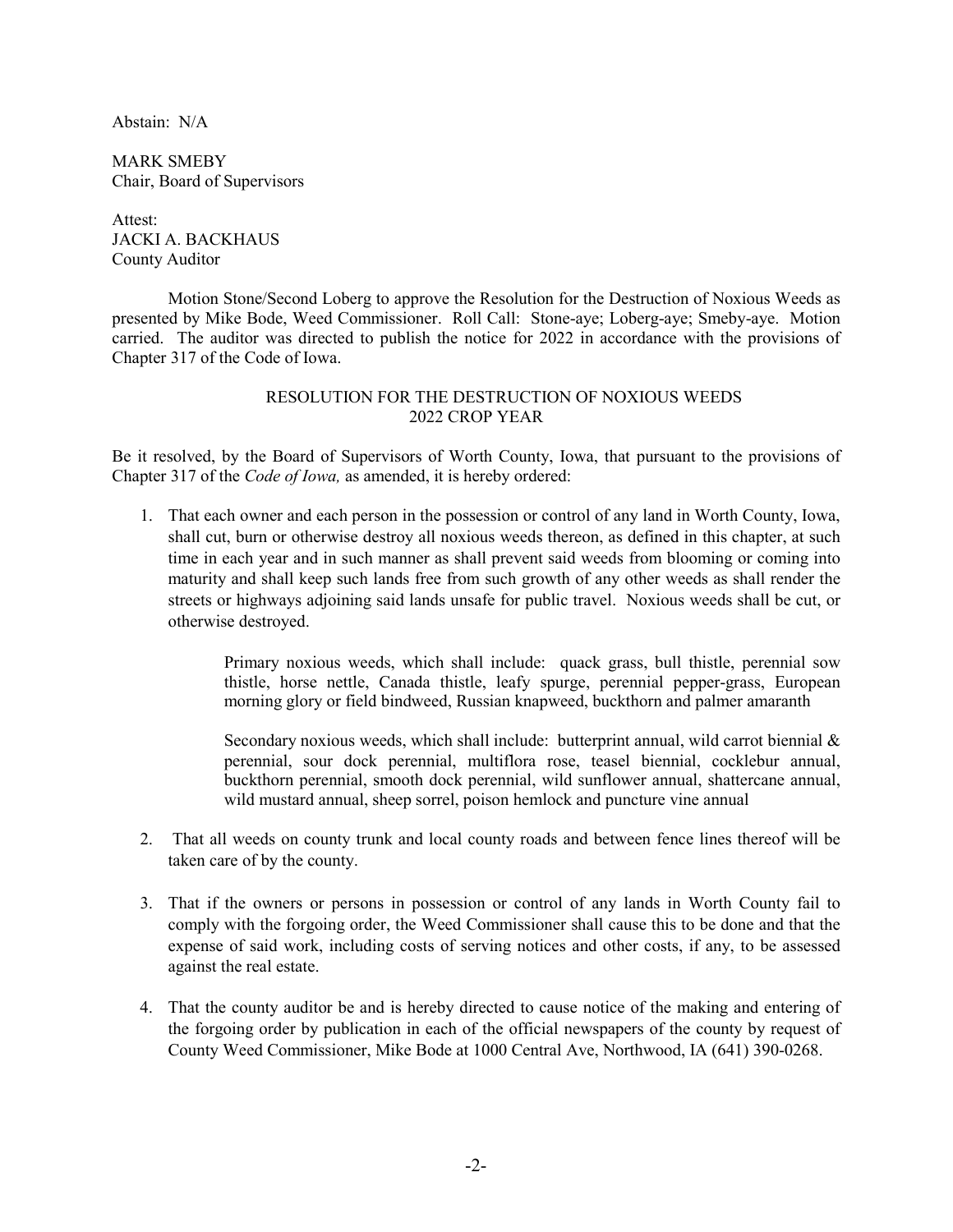Abstain: N/A

MARK SMEBY Chair, Board of Supervisors

Attest: JACKI A. BACKHAUS County Auditor

Motion Stone/Second Loberg to approve the Resolution for the Destruction of Noxious Weeds as presented by Mike Bode, Weed Commissioner. Roll Call: Stone-aye; Loberg-aye; Smeby-aye. Motion carried. The auditor was directed to publish the notice for 2022 in accordance with the provisions of Chapter 317 of the Code of Iowa.

## RESOLUTION FOR THE DESTRUCTION OF NOXIOUS WEEDS 2022 CROP YEAR

Be it resolved, by the Board of Supervisors of Worth County, Iowa, that pursuant to the provisions of Chapter 317 of the *Code of Iowa,* as amended, it is hereby ordered:

1. That each owner and each person in the possession or control of any land in Worth County, Iowa, shall cut, burn or otherwise destroy all noxious weeds thereon, as defined in this chapter, at such time in each year and in such manner as shall prevent said weeds from blooming or coming into maturity and shall keep such lands free from such growth of any other weeds as shall render the streets or highways adjoining said lands unsafe for public travel. Noxious weeds shall be cut, or otherwise destroyed.

> Primary noxious weeds, which shall include: quack grass, bull thistle, perennial sow thistle, horse nettle, Canada thistle, leafy spurge, perennial pepper-grass, European morning glory or field bindweed, Russian knapweed, buckthorn and palmer amaranth

> Secondary noxious weeds, which shall include: butterprint annual, wild carrot biennial  $\&$ perennial, sour dock perennial, multiflora rose, teasel biennial, cocklebur annual, buckthorn perennial, smooth dock perennial, wild sunflower annual, shattercane annual, wild mustard annual, sheep sorrel, poison hemlock and puncture vine annual

- 2. That all weeds on county trunk and local county roads and between fence lines thereof will be taken care of by the county.
- 3. That if the owners or persons in possession or control of any lands in Worth County fail to comply with the forgoing order, the Weed Commissioner shall cause this to be done and that the expense of said work, including costs of serving notices and other costs, if any, to be assessed against the real estate.
- 4. That the county auditor be and is hereby directed to cause notice of the making and entering of the forgoing order by publication in each of the official newspapers of the county by request of County Weed Commissioner, Mike Bode at 1000 Central Ave, Northwood, IA (641) 390-0268.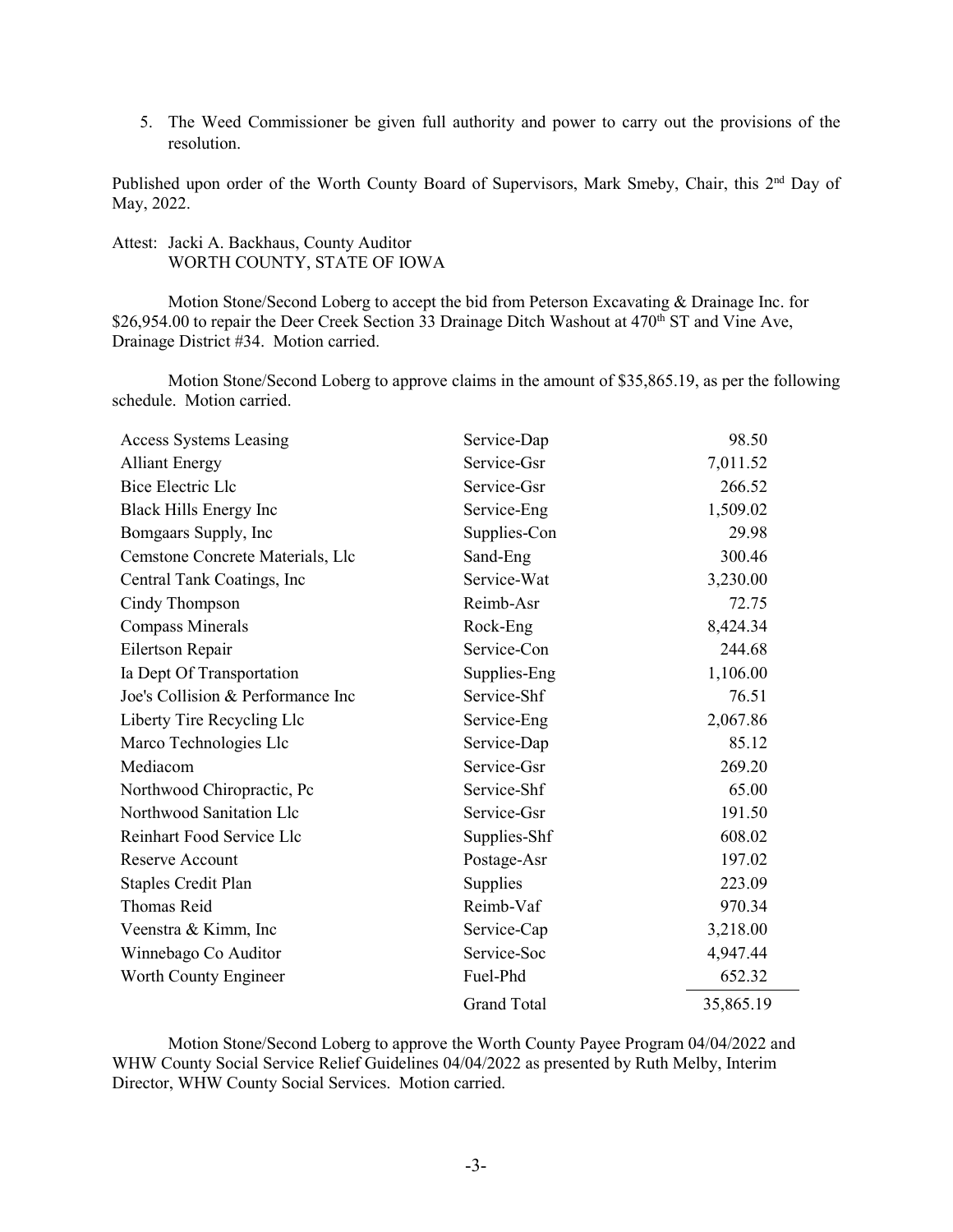5. The Weed Commissioner be given full authority and power to carry out the provisions of the resolution.

Published upon order of the Worth County Board of Supervisors, Mark Smeby, Chair, this 2<sup>nd</sup> Day of May, 2022.

# Attest: Jacki A. Backhaus, County Auditor WORTH COUNTY, STATE OF IOWA

Motion Stone/Second Loberg to accept the bid from Peterson Excavating & Drainage Inc. for \$26,954.00 to repair the Deer Creek Section 33 Drainage Ditch Washout at 470<sup>th</sup> ST and Vine Ave, Drainage District #34. Motion carried.

Motion Stone/Second Loberg to approve claims in the amount of \$35,865.19, as per the following schedule. Motion carried.

| <b>Access Systems Leasing</b>     | Service-Dap        | 98.50     |
|-----------------------------------|--------------------|-----------|
| <b>Alliant Energy</b>             | Service-Gsr        | 7,011.52  |
| <b>Bice Electric Llc</b>          | Service-Gsr        | 266.52    |
| Black Hills Energy Inc            | Service-Eng        | 1,509.02  |
| Bomgaars Supply, Inc              | Supplies-Con       | 29.98     |
| Cemstone Concrete Materials, Llc  | Sand-Eng           | 300.46    |
| Central Tank Coatings, Inc        | Service-Wat        | 3,230.00  |
| Cindy Thompson                    | Reimb-Asr          | 72.75     |
| <b>Compass Minerals</b>           | Rock-Eng           | 8,424.34  |
| Eilertson Repair                  | Service-Con        | 244.68    |
| Ia Dept Of Transportation         | Supplies-Eng       | 1,106.00  |
| Joe's Collision & Performance Inc | Service-Shf        | 76.51     |
| Liberty Tire Recycling Llc        | Service-Eng        | 2,067.86  |
| Marco Technologies Llc            | Service-Dap        | 85.12     |
| Mediacom                          | Service-Gsr        | 269.20    |
| Northwood Chiropractic, Pc        | Service-Shf        | 65.00     |
| Northwood Sanitation Llc          | Service-Gsr        | 191.50    |
| Reinhart Food Service Llc         | Supplies-Shf       | 608.02    |
| Reserve Account                   | Postage-Asr        | 197.02    |
| <b>Staples Credit Plan</b>        | Supplies           | 223.09    |
| Thomas Reid                       | Reimb-Vaf          | 970.34    |
| Veenstra & Kimm, Inc              | Service-Cap        | 3,218.00  |
| Winnebago Co Auditor              | Service-Soc        | 4,947.44  |
| Worth County Engineer             | Fuel-Phd           | 652.32    |
|                                   | <b>Grand Total</b> | 35,865.19 |

Motion Stone/Second Loberg to approve the Worth County Payee Program 04/04/2022 and WHW County Social Service Relief Guidelines 04/04/2022 as presented by Ruth Melby, Interim Director, WHW County Social Services. Motion carried.